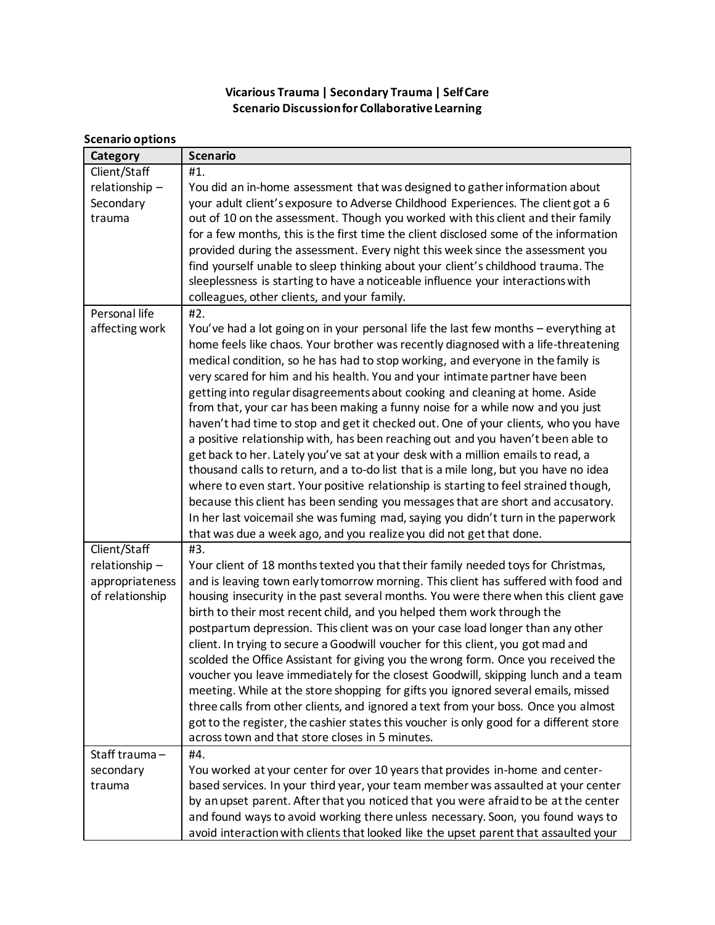## **Vicarious Trauma | Secondary Trauma | Self Care Scenario Discussion for Collaborative Learning**

## **Scenario options**

| Category                                             | <b>Scenario</b>                                                                                                                                                                                                                                                                                                                                                                                                                                                                                                                                                                                                                                                                                                                                                                                                                                                                                                                                                                                                                                                                                                                                                                                                    |
|------------------------------------------------------|--------------------------------------------------------------------------------------------------------------------------------------------------------------------------------------------------------------------------------------------------------------------------------------------------------------------------------------------------------------------------------------------------------------------------------------------------------------------------------------------------------------------------------------------------------------------------------------------------------------------------------------------------------------------------------------------------------------------------------------------------------------------------------------------------------------------------------------------------------------------------------------------------------------------------------------------------------------------------------------------------------------------------------------------------------------------------------------------------------------------------------------------------------------------------------------------------------------------|
| Client/Staff<br>relationship-<br>Secondary<br>trauma | #1.<br>You did an in-home assessment that was designed to gather information about<br>your adult client's exposure to Adverse Childhood Experiences. The client got a 6<br>out of 10 on the assessment. Though you worked with this client and their family<br>for a few months, this is the first time the client disclosed some of the information<br>provided during the assessment. Every night this week since the assessment you<br>find yourself unable to sleep thinking about your client's childhood trauma. The<br>sleeplessness is starting to have a noticeable influence your interactions with                                                                                                                                                                                                                                                                                                                                                                                                                                                                                                                                                                                                      |
|                                                      | colleagues, other clients, and your family.                                                                                                                                                                                                                                                                                                                                                                                                                                                                                                                                                                                                                                                                                                                                                                                                                                                                                                                                                                                                                                                                                                                                                                        |
| Personal life<br>affecting work                      | #2.<br>You've had a lot going on in your personal life the last few months - everything at<br>home feels like chaos. Your brother was recently diagnosed with a life-threatening<br>medical condition, so he has had to stop working, and everyone in the family is<br>very scared for him and his health. You and your intimate partner have been<br>getting into regular disagreements about cooking and cleaning at home. Aside<br>from that, your car has been making a funny noise for a while now and you just<br>haven't had time to stop and get it checked out. One of your clients, who you have<br>a positive relationship with, has been reaching out and you haven't been able to<br>get back to her. Lately you've sat at your desk with a million emails to read, a<br>thousand calls to return, and a to-do list that is a mile long, but you have no idea<br>where to even start. Your positive relationship is starting to feel strained though,<br>because this client has been sending you messages that are short and accusatory.<br>In her last voicemail she was fuming mad, saying you didn't turn in the paperwork<br>that was due a week ago, and you realize you did not get that done. |
| Client/Staff                                         | #3.                                                                                                                                                                                                                                                                                                                                                                                                                                                                                                                                                                                                                                                                                                                                                                                                                                                                                                                                                                                                                                                                                                                                                                                                                |
| relationship-<br>appropriateness<br>of relationship  | Your client of 18 months texted you that their family needed toys for Christmas,<br>and is leaving town early tomorrow morning. This client has suffered with food and<br>housing insecurity in the past several months. You were there when this client gave<br>birth to their most recent child, and you helped them work through the<br>postpartum depression. This client was on your case load longer than any other<br>client. In trying to secure a Goodwill voucher for this client, you got mad and<br>scolded the Office Assistant for giving you the wrong form. Once you received the<br>voucher you leave immediately for the closest Goodwill, skipping lunch and a team<br>meeting. While at the store shopping for gifts you ignored several emails, missed<br>three calls from other clients, and ignored a text from your boss. Once you almost<br>got to the register, the cashier states this voucher is only good for a different store<br>across town and that store closes in 5 minutes.                                                                                                                                                                                                    |
| Staff trauma-<br>secondary                           | #4.<br>You worked at your center for over 10 years that provides in-home and center-                                                                                                                                                                                                                                                                                                                                                                                                                                                                                                                                                                                                                                                                                                                                                                                                                                                                                                                                                                                                                                                                                                                               |
| trauma                                               | based services. In your third year, your team member was assaulted at your center<br>by an upset parent. After that you noticed that you were afraid to be at the center<br>and found ways to avoid working there unless necessary. Soon, you found ways to<br>avoid interaction with clients that looked like the upset parent that assaulted your                                                                                                                                                                                                                                                                                                                                                                                                                                                                                                                                                                                                                                                                                                                                                                                                                                                                |